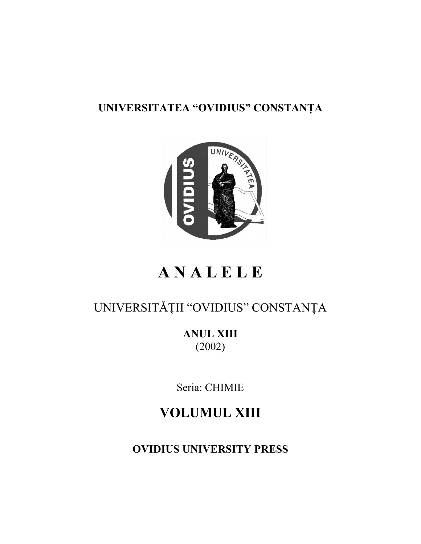### **UNIVERSITATEA "OVIDIUS" CONSTANŢA**



## **A N A L E L E**

## UNIVERSITĂŢII "OVIDIUS" CONSTANŢA

**ANUL XIII** (2002)

Seria: CHIMIE

**VOLUMUL XIII**

**OVIDIUS UNIVERSITY PRESS**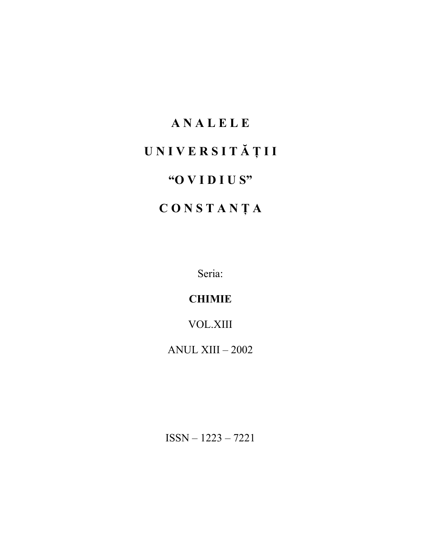# **A N A L E L E U N I V E R S I T Ă Ţ I I "O V I D I U S" C O N S T A N Ţ A**

Seria:

**CHIMIE**

VOL.XIII

ANUL XIII – 2002

ISSN – 1223 – 7221